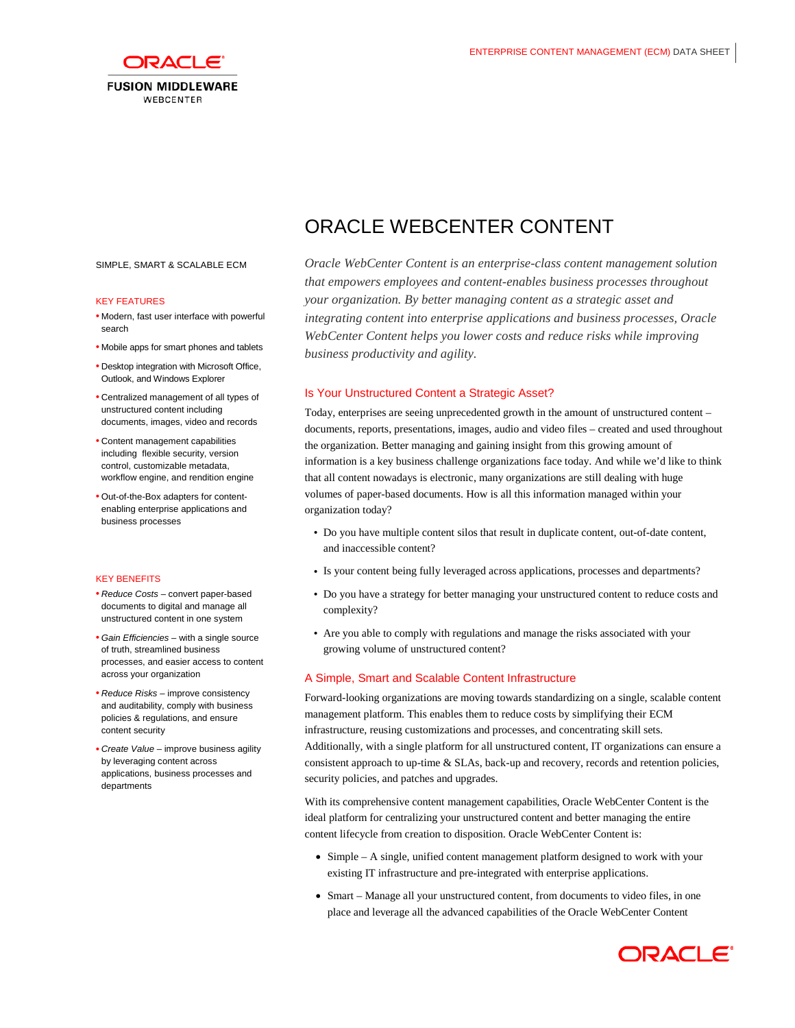

#### SIMPLE, SMART & SCALABLE ECM

#### KEY FEATURES

- Modern, fast user interface with powerful search
- Mobile apps for smart phones and tablets
- Desktop integration with Microsoft Office, Outlook, and Windows Explorer
- Centralized management of all types of unstructured content including documents, images, video and records
- Content management capabilities including flexible security, version control, customizable metadata, workflow engine, and rendition engine
- Out-of-the-Box adapters for contentenabling enterprise applications and business processes

### KEY BENEFITS

- *Reduce Costs* convert paper-based documents to digital and manage all unstructured content in one system
- *Gain Efficiencies* with a single source of truth, streamlined business processes, and easier access to content across your organization
- *Reduce Risks* improve consistency and auditability, comply with business policies & regulations, and ensure content security
- *Create Value* improve business agility by leveraging content across applications, business processes and departments

# ORACLE WEBCENTER CONTENT

*Oracle WebCenter Content is an enterprise-class content management solution that empowers employees and content-enables business processes throughout your organization. By better managing content as a strategic asset and integrating content into enterprise applications and business processes, Oracle WebCenter Content helps you lower costs and reduce risks while improving business productivity and agility.*

## Is Your Unstructured Content a Strategic Asset?

Today, enterprises are seeing unprecedented growth in the amount of unstructured content – documents, reports, presentations, images, audio and video files – created and used throughout the organization. Better managing and gaining insight from this growing amount of information is a key business challenge organizations face today. And while we'd like to think that all content nowadays is electronic, many organizations are still dealing with huge volumes of paper-based documents. How is all this information managed within your organization today?

- Do you have multiple content silos that result in duplicate content, out-of-date content, and inaccessible content?
- Is your content being fully leveraged across applications, processes and departments?
- Do you have a strategy for better managing your unstructured content to reduce costs and complexity?
- Are you able to comply with regulations and manage the risks associated with your growing volume of unstructured content?

## A Simple, Smart and Scalable Content Infrastructure

Forward-looking organizations are moving towards standardizing on a single, scalable content management platform. This enables them to reduce costs by simplifying their ECM infrastructure, reusing customizations and processes, and concentrating skill sets. Additionally, with a single platform for all unstructured content, IT organizations can ensure a consistent approach to up-time & SLAs, back-up and recovery, records and retention policies, security policies, and patches and upgrades.

With its comprehensive content management capabilities, Oracle WebCenter Content is the ideal platform for centralizing your unstructured content and better managing the entire content lifecycle from creation to disposition. Oracle WebCenter Content is:

- Simple A single, unified content management platform designed to work with your existing IT infrastructure and pre-integrated with enterprise applications.
- Smart Manage all your unstructured content, from documents to video files, in one place and leverage all the advanced capabilities of the Oracle WebCenter Content